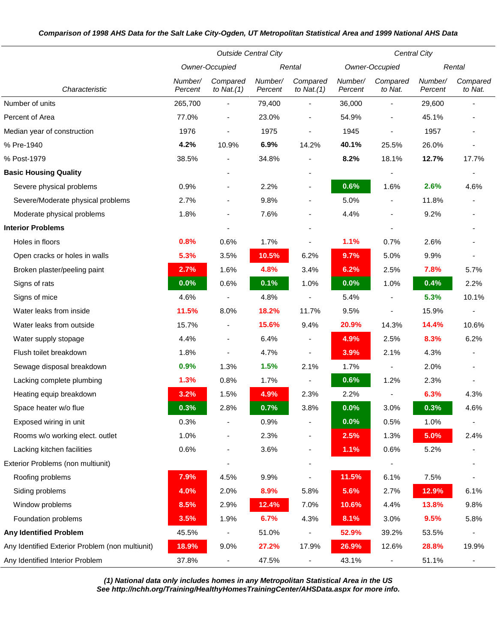## *Comparison of 1998 AHS Data for the Salt Lake City-Ogden, UT Metropolitan Statistical Area and 1999 National AHS Data*

|                                                 | <b>Outside Central City</b> |                           |                    |                           | Central City       |                          |                    |                     |
|-------------------------------------------------|-----------------------------|---------------------------|--------------------|---------------------------|--------------------|--------------------------|--------------------|---------------------|
|                                                 | Owner-Occupied              |                           | Rental             |                           | Owner-Occupied     |                          | Rental             |                     |
| Characteristic                                  | Number/<br>Percent          | Compared<br>to Nat. $(1)$ | Number/<br>Percent | Compared<br>to Nat. $(1)$ | Number/<br>Percent | Compared<br>to Nat.      | Number/<br>Percent | Compared<br>to Nat. |
| Number of units                                 | 265,700                     |                           | 79,400             |                           | 36,000             | ٠                        | 29,600             |                     |
| Percent of Area                                 | 77.0%                       | $\overline{\phantom{a}}$  | 23.0%              | $\blacksquare$            | 54.9%              | $\blacksquare$           | 45.1%              |                     |
| Median year of construction                     | 1976                        |                           | 1975               |                           | 1945               |                          | 1957               |                     |
| % Pre-1940                                      | 4.2%                        | 10.9%                     | 6.9%               | 14.2%                     | 40.1%              | 25.5%                    | 26.0%              |                     |
| % Post-1979                                     | 38.5%                       |                           | 34.8%              |                           | 8.2%               | 18.1%                    | 12.7%              | 17.7%               |
| <b>Basic Housing Quality</b>                    |                             |                           |                    |                           |                    |                          |                    |                     |
| Severe physical problems                        | 0.9%                        |                           | 2.2%               |                           | 0.6%               | 1.6%                     | 2.6%               | 4.6%                |
| Severe/Moderate physical problems               | 2.7%                        |                           | 9.8%               |                           | 5.0%               | $\overline{\phantom{0}}$ | 11.8%              |                     |
| Moderate physical problems                      | 1.8%                        | ٠                         | 7.6%               |                           | 4.4%               |                          | 9.2%               |                     |
| <b>Interior Problems</b>                        |                             |                           |                    |                           |                    |                          |                    |                     |
| Holes in floors                                 | 0.8%                        | 0.6%                      | 1.7%               |                           | 1.1%               | 0.7%                     | 2.6%               |                     |
| Open cracks or holes in walls                   | 5.3%                        | 3.5%                      | 10.5%              | 6.2%                      | 9.7%               | 5.0%                     | 9.9%               |                     |
| Broken plaster/peeling paint                    | 2.7%                        | 1.6%                      | 4.8%               | 3.4%                      | 6.2%               | 2.5%                     | 7.8%               | 5.7%                |
| Signs of rats                                   | 0.0%                        | 0.6%                      | 0.1%               | 1.0%                      | 0.0%               | 1.0%                     | 0.4%               | 2.2%                |
| Signs of mice                                   | 4.6%                        |                           | 4.8%               |                           | 5.4%               |                          | 5.3%               | 10.1%               |
| Water leaks from inside                         | 11.5%                       | 8.0%                      | 18.2%              | 11.7%                     | 9.5%               |                          | 15.9%              |                     |
| Water leaks from outside                        | 15.7%                       |                           | 15.6%              | 9.4%                      | 20.9%              | 14.3%                    | 14.4%              | 10.6%               |
| Water supply stopage                            | 4.4%                        |                           | 6.4%               |                           | 4.9%               | 2.5%                     | 8.3%               | 6.2%                |
| Flush toilet breakdown                          | 1.8%                        |                           | 4.7%               |                           | 3.9%               | 2.1%                     | 4.3%               |                     |
| Sewage disposal breakdown                       | 0.9%                        | 1.3%                      | 1.5%               | 2.1%                      | 1.7%               |                          | 2.0%               |                     |
| Lacking complete plumbing                       | 1.3%                        | 0.8%                      | 1.7%               |                           | 0.6%               | 1.2%                     | 2.3%               |                     |
| Heating equip breakdown                         | 3.2%                        | 1.5%                      | 4.9%               | 2.3%                      | 2.2%               |                          | 6.3%               | 4.3%                |
| Space heater w/o flue                           | 0.3%                        | 2.8%                      | 0.7%               | 3.8%                      | 0.0%               | 3.0%                     | 0.3%               | 4.6%                |
| Exposed wiring in unit                          | 0.3%                        |                           | 0.9%               |                           | 0.0%               | 0.5%                     | 1.0%               |                     |
| Rooms w/o working elect. outlet                 | 1.0%                        |                           | 2.3%               |                           | 2.5%               | 1.3%                     | 5.0%               | 2.4%                |
| Lacking kitchen facilities                      | 0.6%                        | $\overline{\phantom{a}}$  | 3.6%               | $\blacksquare$            | 1.1%               | 0.6%                     | 5.2%               |                     |
| Exterior Problems (non multiunit)               |                             | $\overline{\phantom{a}}$  |                    |                           |                    |                          |                    |                     |
| Roofing problems                                | 7.9%                        | 4.5%                      | 9.9%               |                           | 11.5%              | 6.1%                     | 7.5%               |                     |
| Siding problems                                 | 4.0%                        | 2.0%                      | 8.9%               | 5.8%                      | 5.6%               | 2.7%                     | 12.9%              | 6.1%                |
| Window problems                                 | 8.5%                        | 2.9%                      | 12.4%              | 7.0%                      | 10.6%              | 4.4%                     | 13.8%              | 9.8%                |
| Foundation problems                             | 3.5%                        | 1.9%                      | 6.7%               | 4.3%                      | 8.1%               | 3.0%                     | 9.5%               | 5.8%                |
| <b>Any Identified Problem</b>                   | 45.5%                       |                           | 51.0%              |                           | 52.9%              | 39.2%                    | 53.5%              |                     |
| Any Identified Exterior Problem (non multiunit) | 18.9%                       | 9.0%                      | 27.2%              | 17.9%                     | 26.9%              | 12.6%                    | 28.8%              | 19.9%               |
| Any Identified Interior Problem                 | 37.8%                       |                           | 47.5%              |                           | 43.1%              |                          | 51.1%              |                     |

*(1) National data only includes homes in any Metropolitan Statistical Area in the US See http://nchh.org/Training/HealthyHomesTrainingCenter/AHSData.aspx for more info.*